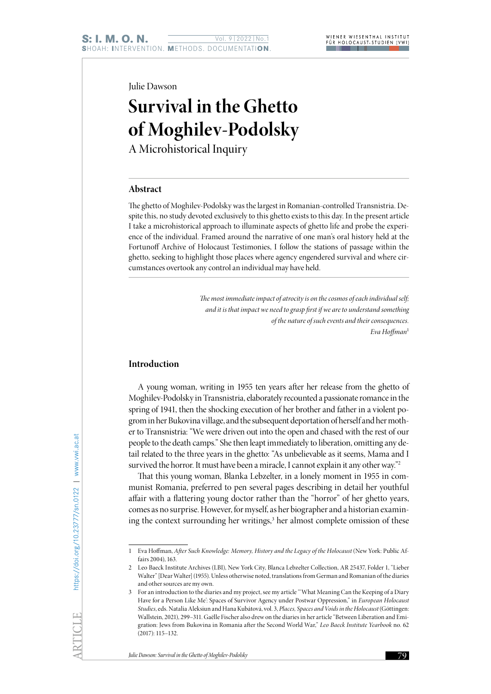Julie Dawson

# **Survival in the Ghetto of Moghilev-Podolsky**

A Microhistorical Inquiry

## **Abstract**

The ghetto of Moghilev-Podolsky was the largest in Romanian-controlled Transnistria. Despite this, no study devoted exclusively to this ghetto exists to this day. In the present article I take a microhistorical approach to illuminate aspects of ghetto life and probe the experience of the individual. Framed around the narrative of one man's oral history held at the Fortunoff Archive of Holocaust Testimonies, I follow the stations of passage within the ghetto, seeking to highlight those places where agency engendered survival and where circumstances overtook any control an individual may have held.

> The most immediate impact of atrocity is on the cosmos of each individual self; *and it is that impact we need to grasp first if we are to understand something of the nature of such events and their consequences. Eva Hoffman*<sup>1</sup>

#### **Introduction**

A young woman, writing in 1955 ten years after her release from the ghetto of Moghilev-Podolsky in Transnistria, elaborately recounted a passionate romance in the spring of 1941, then the shocking execution of her brother and father in a violent pogrom in her Bukovina village, and the subsequent deportation of herself and her mother to Transnistria: "We were driven out into the open and chased with the rest of our people to the death camps." She then leapt immediately to liberation, omitting any detail related to the three years in the ghetto: "As unbelievable as it seems, Mama and I survived the horror. It must have been a miracle, I cannot explain it any other way."<sup>2</sup>

That this young woman, Blanka Lebzelter, in a lonely moment in 1955 in communist Romania, preferred to pen several pages describing in detail her youthful affair with a flattering young doctor rather than the "horror" of her ghetto years, comes as no surprise. However, for myself, as her biographer and a historian examining the context surrounding her writings,<sup>3</sup> her almost complete omission of these

<sup>1</sup> Eva Hoffman, *After Such Knowledge: Memory, History and the Legacy of the Holocaust* (New York: Public Affairs 2004), 163.

<sup>2</sup> Leo Baeck Institute Archives (LBI), New York City, Blanca Lebzelter Collection, AR 25437, Folder 1, "Lieber Walter" [Dear Walter] (1955). Unless otherwise noted, translations from German and Romanian of the diaries and other sources are my own.

<sup>3</sup> For an introduction to the diaries and my project, see my article "'What Meaning Can the Keeping of a Diary Have for a Person Like Me': Spaces of Survivor Agency under Postwar Oppression," in *European Holocaust Studies*, eds. Natalia Aleksiun and Hana Kubátová, vol. 3, *Places, Spaces and Voids in the Holocaust* (Göttingen: Wallstein, 2021), 299–311. Gaëlle Fischer also drew on the diaries in her article "Between Liberation and Emigration: Jews from Bukovina in Romania after the Second World War," *Leo Baeck Institute Yearbook* no. 62 (2017): 115–132.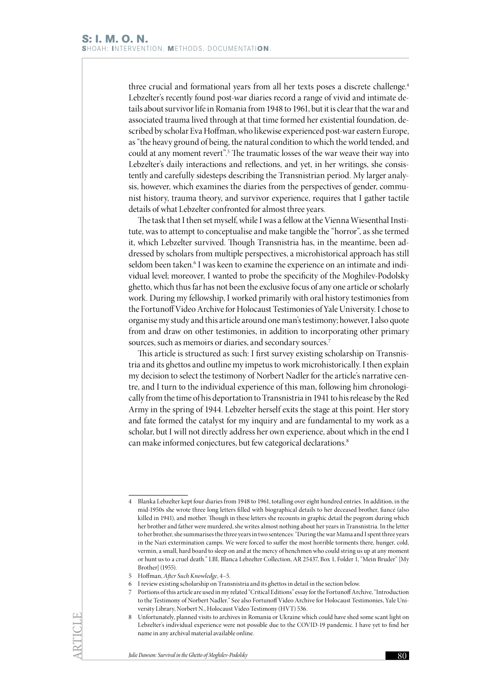three crucial and formational years from all her texts poses a discrete challenge.<sup>4</sup> Lebzelter's recently found post-war diaries record a range of vivid and intimate details about survivor life in Romania from 1948 to 1961, but it is clear that the war and associated trauma lived through at that time formed her existential foundation, described by scholar Eva Hoffman, who likewise experienced post-war eastern Europe, as "the heavy ground of being, the natural condition to which the world tended, and could at any moment revert".<sup>5</sup> The traumatic losses of the war weave their way into Lebzelter's daily interactions and reflections, and yet, in her writings, she consistently and carefully sidesteps describing the Transnistrian period. My larger analysis, however, which examines the diaries from the perspectives of gender, communist history, trauma theory, and survivor experience, requires that I gather tactile details of what Lebzelter confronted for almost three years.

The task that I then set myself, while I was a fellow at the Vienna Wiesenthal Institute, was to attempt to conceptualise and make tangible the "horror", as she termed it, which Lebzelter survived. Though Transnistria has, in the meantime, been addressed by scholars from multiple perspectives, a microhistorical approach has still seldom been taken.<sup>6</sup> I was keen to examine the experience on an intimate and individual level; moreover, I wanted to probe the specificity of the Moghilev-Podolsky ghetto, which thus far has not been the exclusive focus of any one article or scholarly work. During my fellowship, I worked primarily with oral history testimonies from the Fortunoff Video Archive for Holocaust Testimonies of Yale University. I chose to organise my study and this article around one man's testimony; however, I also quote from and draw on other testimonies, in addition to incorporating other primary sources, such as memoirs or diaries, and secondary sources.<sup>7</sup>

This article is structured as such: I first survey existing scholarship on Transnistria and its ghettos and outline my impetus to work microhistorically. I then explain my decision to select the testimony of Norbert Nadler for the article's narrative centre, and I turn to the individual experience of this man, following him chronologically from the time of his deportation to Transnistria in 1941 to his release by the Red Army in the spring of 1944. Lebzelter herself exits the stage at this point. Her story and fate formed the catalyst for my inquiry and are fundamental to my work as a scholar, but I will not directly address her own experience, about which in the end I can make informed conjectures, but few categorical declarations.<sup>8</sup>

<sup>4</sup> Blanka Lebzelter kept four diaries from 1948 to 1961, totalling over eight hundred entries. In addition, in the mid-1950s she wrote three long letters filled with biographical details to her deceased brother, fiancé (also killed in 1941), and mother. Though in these letters she recounts in graphic detail the pogrom during which her brother and father were murdered, she writes almost nothing about her years in Transnistria. In the letter to her brother, she summarises the three years in two sentences: "During the war Mama and I spent three years in the Nazi extermination camps. We were forced to suffer the most horrible torments there, hunger, cold, vermin, a small, hard board to sleep on and at the mercy of henchmen who could string us up at any moment or hunt us to a cruel death." LBI, Blanca Lebzelter Collection, AR 25437, Box 1, Folder 1, "Mein Bruder" [My Brother] (1955).

<sup>5</sup> Hoffman, *After Such Knowledge*, 4–5.

<sup>6</sup> I review existing scholarship on Transnistria and its ghettos in detail in the section below.

<sup>7</sup> Portions of this article are used in my related "Critical Editions" essay for the Fortunoff Archive, "Introduction to the Testimony of Norbert Nadler." See also Fortunoff Video Archive for Holocaust Testimonies, Yale University Library, Norbert N., Holocaust Video Testimony (HVT) 536.

<sup>8</sup> Unfortunately, planned visits to archives in Romania or Ukraine which could have shed some scant light on Lebzelter's individual experience were not possible due to the COVID-19 pandemic. I have yet to find her name in any archival material available online.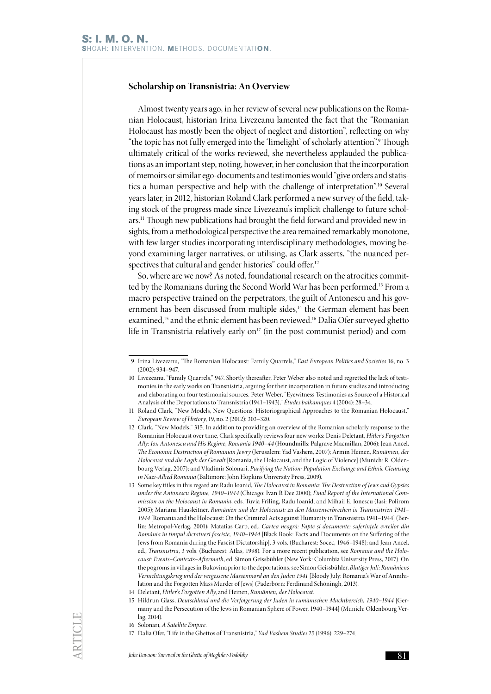#### **Scholarship on Transnistria: An Overview**

Almost twenty years ago, in her review of several new publications on the Romanian Holocaust, historian Irina Livezeanu lamented the fact that the "Romanian Holocaust has mostly been the object of neglect and distortion", reflecting on why "the topic has not fully emerged into the 'limelight' of scholarly attention".<sup>9</sup> Though ultimately critical of the works reviewed, she nevertheless applauded the publications as an important step, noting, however, in her conclusion that the incorporation of memoirs or similar ego-documents and testimonies would "give orders and statistics a human perspective and help with the challenge of interpretation".10 Several years later, in 2012, historian Roland Clark performed a new survey of the field, taking stock of the progress made since Livezeanu's implicit challenge to future scholars.11 Though new publications had brought the field forward and provided new insights, from a methodological perspective the area remained remarkably monotone, with few larger studies incorporating interdisciplinary methodologies, moving beyond examining larger narratives, or utilising, as Clark asserts, "the nuanced perspectives that cultural and gender histories" could offer.<sup>12</sup>

So, where are we now? As noted, foundational research on the atrocities committed by the Romanians during the Second World War has been performed.13 From a macro perspective trained on the perpetrators, the guilt of Antonescu and his government has been discussed from multiple sides,<sup>14</sup> the German element has been examined,15 and the ethnic element has been reviewed.16 Dalia Ofer surveyed ghetto life in Transnistria relatively early on<sup>17</sup> (in the post-communist period) and com-

- 12 Clark, "New Models," 315. In addition to providing an overview of the Romanian scholarly response to the Romanian Holocaust over time, Clark specifically reviews four new works: Denis Deletant, *Hitler's Forgotten Ally: Ion Antonescu and His Regime, Romania 1940–44* (Houndmills: Palgrave Macmillan, 2006); Jean Ancel, *The Economic Destruction of Romanian Jewry* (Jerusalem: Yad Vashem, 2007); Armin Heinen, *Rumänien, der Holocaust und die Logik der Gewalt* [Romania, the Holocaust, and the Logic of Violence] (Munich: R. Oldenbourg Verlag, 2007); and Vladimir Solonari, *Purifying the Nation: Population Exchange and Ethnic Cleansing in Nazi-Allied Romania* (Baltimore: John Hopkins University Press, 2009).
- 13 Some key titles in this regard are Radu Ioanid, *The Holocaust in Romania: The Destruction of Jews and Gypsies under the Antonescu Regime, 1940–1944* (Chicago: Ivan R Dee 2000); *Final Report of the International Commission on the Holocaust in Romania*, eds. Tuvia Friling, Radu Ioanid, and Mihail E. Ionescu (Iasi: Polirom 2005); Mariana Hausleitner, *Rumänien und der Holocaust: zu den Massenverbrechen in Transnistrien 1941– 1944* [Romania and the Holocaust: On the Criminal Acts against Humanity in Transnistria 1941–1944] (Berlin: Metropol-Verlag, 2001); Matatias Carp, ed., *Cartea neagră: Fapte și documente: suferințele evreilor din România în timpul dictatueri fasciste, 1940–1944* [Black Book: Facts and Documents on the Suffering of the Jews from Romania during the Fascist Dictatorship], 3 vols. (Bucharest: Socec, 1946–1948); and Jean Ancel, ed., *Transnistria*, 3 vols. (Bucharest: Atlas, 1998). For a more recent publication, see *Romania and the Holocaust: Events–Contexts–Aftermath*, ed. Simon Geissbühler (New York: Columbia University Press, 2017). On the pogroms in villages in Bukovina prior to the deportations, see Simon Geissbühler, *Blutiger Juli: Rumäniens Vernichtungskrieg und der vergessene Massenmord an den Juden 1941* [Bloody July: Romania's War of Annihilation and the Forgotten Mass Murder of Jews] (Paderborn: Ferdinand Schöningh, 2013).

- 15 Hildrun Glass, *Deutschland und die Verfolgerung der Juden in rumänischen Machtbereich, 1940–1944* [Germany and the Persecution of the Jews in Romanian Sphere of Power, 1940–1944] (Munich: Oldenbourg Verlag, 2014).
- 16 Solonari, *A Satellite Empire*.

<sup>9</sup> Irina Livezeanu, "The Romanian Holocaust: Family Quarrels," *East European Politics and Societies* 16, no. 3 (2002): 934–947.

<sup>10</sup> Livezeanu, "Family Quarrels," 947. Shortly thereafter, Peter Weber also noted and regretted the lack of testimonies in the early works on Transnistria, arguing for their incorporation in future studies and introducing and elaborating on four testimonial sources. Peter Weber, "Eyewitness Testimonies as Source of a Historical Analysis of the Deportations to Transnistria (1941–1943)," *Études balkaniques* 4 (2004): 28–34.

<sup>11</sup> Roland Clark, "New Models, New Questions: Historiographical Approaches to the Romanian Holocaust," *European Review of History*, 19, no. 2 (2012): 303–320.

<sup>14</sup> Deletant, *Hitler's Forgotten Ally*, and Heinen, *Rumänien, der Holocaust*.

<sup>17</sup> Dalia Ofer, "Life in the Ghettos of Transnistria," *Yad Vashem Studies* 25 (1996): 229–274.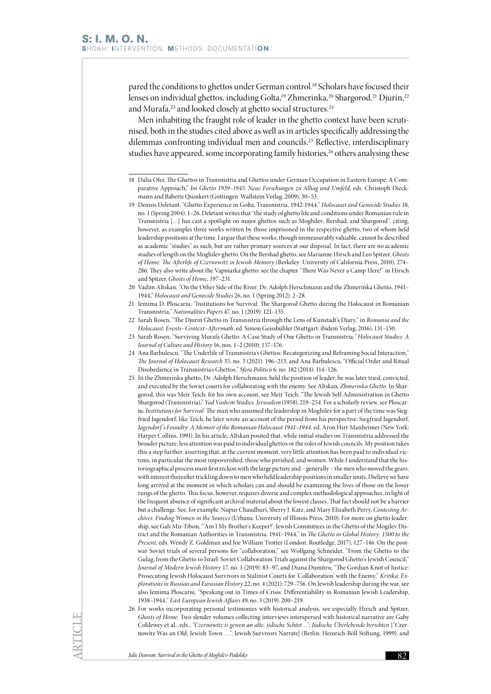pared the conditions to ghettos under German control.<sup>18</sup> Scholars have focused their lenses on individual ghettos, including Golta,<sup>19</sup> Zhmerinka,<sup>20</sup> Shargorod,<sup>21</sup> Djurin,<sup>22</sup> and Murafa,<sup>23</sup> and looked closely at ghetto social structures.<sup>24</sup>

Men inhabiting the fraught role of leader in the ghetto context have been scrutinised, both in the studies cited above as well as in articles specifically addressing the dilemmas confronting individual men and councils.25 Reflective, interdisciplinary studies have appeared, some incorporating family histories,<sup>26</sup> others analysing these

- 19 Dennis Deletant, "Ghetto Experience in Golta, Transnistria, 1942-1944," *Holocaust and Genocide Studies* 18, no. 1 (Spring 2004): 1–26. Deletant writes that "the study of ghetto life and conditions under Romanian rule in Transnistria […] has cast a spotlight on major ghettos such as Moghilev, Bershad, and Shargorod", citing, however, as examples three works written by those imprisoned in the respective ghetto, two of whom held leadership positions at the time. I argue that these works, though immeasurably valuable, cannot be described as academic "studies" as such, but are rather primary sources at our disposal. In fact, there are no academic studies of length on the Moghilev ghetto. On the Bershad ghetto, see Marianne Hirsch and Leo Spitzer, *Ghosts of Home: The Afterlife of Czernowitz in Jewish Memory* (Berkeley: University of California Press, 2010), 274– 286. They also write about the Vapniarka ghetto: see the chapter "There Was Never a Camp Here!" in Hirsch and Spitzer, *Ghosts of Home,* 197–231.
- 20 Vadim Altskan, "On the Other Side of the River: Dr. Adolph Herschmann and the Zhmerinka Ghetto, 1941– 1944," *Holocaust and Genocide Studies* 26, no. 1 (Spring 2012): 2–28.
- 21 Iemima D. Ploscariu, "Institutions for Survival: The Shargorod Ghetto during the Holocaust in Romanian Transnistria," *Nationalities Papers* 47, no. 1 (2019): 121–135.
- 22 Sarah Rosen, "The Djurin Ghetto in Transnistria through the Lens of Kunstadt's Diary," in *Romania and the Holocaust: Events–Context–Aftermath*, ed. Simon Geissbühler (Stuttgart: ibidem Verlag, 2016), 131–150.
- 23 Sarah Rosen, "Surviving Murafa Ghetto: A Case Study of One Ghetto in Transnistria*," Holocaust Studies: A Journal of Culture and History* 16, nos. 1–2 (2010): 157–176.
- 24 Ana Barbulescu, "The Underlife of Transnistria's Ghettos: Recategorizing and Reframing Social Interaction," *The Journal of Holocaust Research* 35, no. 3 (2021): 196–213, and Ana Barbulescu, "Official Order and Ritual Disobedience in Transnistria's Ghettos," *Sfera Politicii* 6, no. 182 (2014): 114–126.
- 25 In the Zhmerinka ghetto, Dr. Adolph Herschmann, held the position of leader; he was later tried, convicted, and executed by the Soviet courts for collaborating with the enemy. See Altskan, *Zhmerinka Ghetto*. In Shargorod, this was Meir Teich; for his own account, see Meir Teich, "The Jewish Self-Administration in Ghetto Shargorod (Transnistria)," *Yad Vashem Studies, Jerusalem* (1958), 219–254. For a scholarly review, see Ploscariu, *Institutions for Survival*. The man who assumed the leadership in Moghilev for a part of the time was Siegfried Jagendorf; like Teich, he later wrote an account of the period from his perspective: Siegfried Jagendorf, *Jagendorf 's Foundry: A Memoir of the Romanian Holocaust 1941–1944,* ed. Aron Hirt-Manheimer (New York: Harper Collins, 1991). In his article, Altskan posited that, while initial studies on Transnistria addressed the broader picture, less attention was paid to individual ghettos or the roles of Jewish councils. My position takes this a step further, asserting that, at the current moment, very little attention has been paid to individual victims, in particular the most impoverished, those who perished, and women. While I understand that the historiographical process must first reckon with the large picture and – generally – the men who moved the gears, with interest thereafter trickling down to men who held leadership positions in smaller units, I believe we have long arrived at the moment in which scholars can and should be examining the lives of those on the lower rungs of the ghetto. This focus, however, requires diverse and complex methodological approaches, in light of the frequent absence of significant archival material about the lowest classes. That fact should not be a barrier but a challenge. See, for example, Nupur Chaudhuri, Sherry J. Katz, and Mary Elizabeth Perry, *Contesting Archives: Finding Women in the Sources* (Urbana: University of Illinois Press, 2010). For more on ghetto leadership, see Gali Mir-Tibon, "'Am I My Brother's Keeper?': Jewish Committees in the Ghetto of the Mogilev District and the Romanian Authorities in Transnistria, 1941–1944," in *The Ghetto in Global History: 1500 to the Present*, eds. Wendy Z. Goldman and Joe William Trotter (London: Routledge, 2017), 127–146. On the postwar Soviet trials of several persons for "collaboration," see Wolfgang Schneider, "From the Ghetto to the Gulag, from the Ghetto to Israel: Soviet Collaboration Trials against the Shargorod Ghetto's Jewish Council," *Journal of Modern Jewish History* 17, no. 1 (2019): 83–97, and Diana Dumitru, "The Gordian Knot of Justice: Prosecuting Jewish Holocaust Survivors in Stalinist Courts for 'Collaboration' with the Enemy," *Kritika: Explorations in Russian and Eurasian History* 22, no. 4 (2021): 729–756. On Jewish leadership during the war, see also Iemima Ploscariu, "Speaking out in Times of Crisis: Differentiability in Romanian Jewish Leadership, 1938–1944," *East European Jewish Affairs* 49, no. 3 (2019): 200–219.
- 26 For works incorporating personal testimonies with historical analysis, see especially Hirsch and Spitzer, *Ghosts of Home*. Two slender volumes collecting interviews interspersed with historical narrative are Gaby Coldewey et al., eds., *"Czernowitz is gewen an alte, jidische Schtot…": Jüdische Überlebende berichten* ["Czernowitz Was an Old, Jewish Town …": Jewish Survivors Narrate] (Berlin: Heinrich-Böll Stiftung, 1999), and

<sup>18</sup> Dalia Ofer, The Ghettos in Transnistria and Ghettos under German Occupation in Eastern Europe: A Comparative Approach," *Im Ghetto 1939–1945: Neue Forschungen zu Alltag und Umfeld*, eds. Christoph Dieckmann and Babette Quinkert (Göttingen: Wallstein Verlag, 2009), 30–53.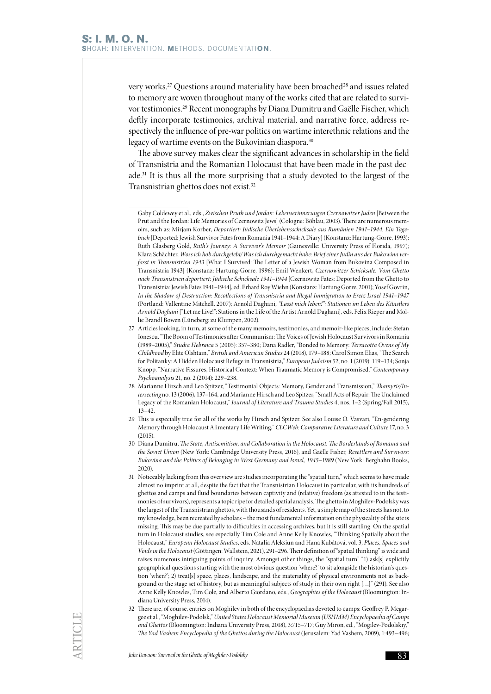very works.<sup>27</sup> Questions around materiality have been broached<sup>28</sup> and issues related to memory are woven throughout many of the works cited that are related to survivor testimonies.<sup>29</sup> Recent monographs by Diana Dumitru and Gaëlle Fischer, which deftly incorporate testimonies, archival material, and narrative force, address respectively the influence of pre-war politics on wartime interethnic relations and the legacy of wartime events on the Bukovinian diaspora.<sup>30</sup>

The above survey makes clear the significant advances in scholarship in the field of Transnistria and the Romanian Holocaust that have been made in the past decade.31 It is thus all the more surprising that a study devoted to the largest of the Transnistrian ghettos does not exist.32

Gaby Coldewey et al., eds., *Zwischen Pruth und Jordan: Lebenserinnerungen Czernowitzer Juden* [Between the Prut and the Jordan: Life Memories of Czernowitz Jews] (Cologne: Böhlau, 2003). There are numerous memoirs, such as: Mirjam Korber, *Deportiert: Jüdische Überlebensschicksale aus Rumänien 1941–1944: Ein Tagebuch* [Deported: Jewish Survivor Fates from Romania 1941–1944: A Diary] (Konstanz: Hartung-Gorre, 1993); Ruth Glasberg Gold, *Ruth's Journey: A Survivor's Memoir* (Gainesville: University Press of Florida, 1997); Klara Schächter, *Woss ich hob durchgelebt/Was ich durchgemacht habe: Brief einer Judin aus der Bukowina verfasst in Transnistrien 1943* [What I Survived: The Letter of a Jewish Woman from Bukovina Composed in Transnistria 1943] (Konstanz: Hartung-Gorre, 1996); Emil Wenkert, *Czernowitzer Schicksale: Vom Ghetto nach Transnistrien deportiert: Jüdische Schicksale 1941–1944* [Czernowitz Fates: Deported from the Ghetto to Transnistria: Jewish Fates 1941–1944], ed. Erhard Roy Wiehn (Konstanz: Hartung Gorre, 2001); Yosef Govrin, *In the Shadow of Destruction: Recollections of Transnistria and Illegal Immigration to Eretz Israel 1941–1947* (Portland: Vallentine Mitchell, 2007); Arnold Daghani, *"Lasst mich leben!": Stationen im Leben des Künstlers Arnold Daghani* ["Let me Live!": Stations in the Life of the Artist Arnold Daghani], eds. Felix Rieper and Mollie Brandl Bowen (Lüneberg: zu Klumpen, 2002).

<sup>27</sup> Articles looking, in turn, at some of the many memoirs, testimonies, and memoir-like pieces, include: Stefan Ionescu, "The Boom of Testimonies after Communism: The Voices of Jewish Holocaust Survivors in Romania (1989–2005)," *Studia Hebraica* 5 (2005): 357–380; Dana Radler, "Bonded to Memory: *Terracotta Ovens of My Childhood* by Elite Olshtain," *British and American Studies* 24 (2018), 179–188; Carol Simon Elias, "The Search for Politanky: A Hidden Holocaust Refuge in Transnistria," *European Judaism* 52, no. 1 (2019): 119–134; Sonja Knopp, "Narrative Fissures, Historical Context: When Traumatic Memory is Compromised," *Contemporary Psychoanalysis* 21, no. 2 (2014): 229–238.

<sup>28</sup> Marianne Hirsch and Leo Spitzer, "Testimonial Objects: Memory, Gender and Transmission," *Thamyris/Intersecting* no. 13 (2006), 137–164, and Marianne Hirsch and Leo Spitzer, "Small Acts of Repair: The Unclaimed Legacy of the Romanian Holocaust," *Journal of Literature and Trauma Studies* 4, nos. 1–2 (Spring/Fall 2015), 13–42.

<sup>29</sup> This is especially true for all of the works by Hirsch and Spitzer. See also Louise O. Vasvari, "En-gendering Memory through Holocaust Alimentary Life Writing," *CLCWeb: Comparative Literature and Culture* 17, no. 3  $(2015)$ 

<sup>30</sup> Diana Dumitru, *The State, Antisemitism, and Collaboration in the Holocaust: The Borderlands of Romania and the Soviet Union* (New York: Cambridge University Press, 2016), and Gaëlle Fisher*, Resettlers and Survivors: Bukovina and the Politics of Belonging in West Germany and Israel, 1945–1989* (New York: Berghahn Books, 2020).

<sup>31</sup> Noticeably lacking from this overview are studies incorporating the "spatial turn," which seems to have made almost no imprint at all, despite the fact that the Transnistrian Holocaust in particular, with its hundreds of ghettos and camps and fluid boundaries between captivity and (relative) freedom (as attested to in the testimonies of survivors), represents a topic ripe for detailed spatial analysis. The ghetto in Moghilev-Podolsky was the largest of the Transnistrian ghettos, with thousands of residents. Yet, a simple map of the streets has not, to my knowledge, been recreated by scholars – the most fundamental information on the physicality of the site is missing. This may be due partially to difficulties in accessing archives, but it is still startling. On the spatial turn in Holocaust studies, see especially Tim Cole and Anne Kelly Knowles, "Thinking Spatially about the Holocaust," *European Holocaust Studies*, eds. Natalia Aleksiun and Hana Kubátová, vol. 3, *Places, Spaces and Voids in the Holocaust* (Göttingen: Wallstein, 2021), 291–296. Their definition of "spatial thinking" is wide and raises numerous intriguing points of inquiry. Amongst other things, the "spatial turn" "1) ask[s] explicitly geographical questions starting with the most obvious question 'where?' to sit alongside the historian's question 'when?'; 2) treat[s] space, places, landscape, and the materiality of physical environments not as background or the stage set of history, but as meaningful subjects of study in their own right […]" (291). See also Anne Kelly Knowles, Tim Cole, and Alberto Giordano, eds., *Geographies of the Holocaust* (Bloomington: Indiana University Press, 2014).

<sup>32</sup> There are, of course, entries on Moghilev in both of the encyclopaedias devoted to camps: Geoffrey P. Megargee et al., "Moghilev-Podolsk," *United States Holocaust Memorial Museum (USHMM) Encyclopaedia of Camps and Ghettos* (Bloomington: Indiana University Press, 2018), 3:715–717; Guy Miron, ed., "Mogilev-Podolskiy," *The Yad Vashem Encyclopedia of the Ghettos during the Holocaust* (Jerusalem: Yad Vashem, 2009), 1:493–496;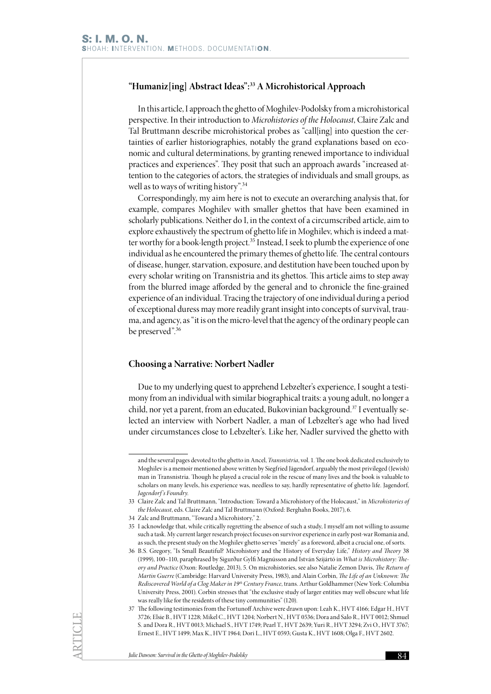## **"Humaniz[ing] Abstract Ideas":33 A Microhistorical Approach**

In this article, I approach the ghetto of Moghilev-Podolsky from a microhistorical perspective. In their introduction to *Microhistories of the Holocaust*, Claire Zalc and Tal Bruttmann describe microhistorical probes as "call[ing] into question the certainties of earlier historiographies, notably the grand explanations based on economic and cultural determinations, by granting renewed importance to individual practices and experiences". They posit that such an approach awards "increased attention to the categories of actors, the strategies of individuals and small groups, as well as to ways of writing history".<sup>34</sup>

Correspondingly, my aim here is not to execute an overarching analysis that, for example, compares Moghilev with smaller ghettos that have been examined in scholarly publications. Neither do I, in the context of a circumscribed article, aim to explore exhaustively the spectrum of ghetto life in Moghilev, which is indeed a matter worthy for a book-length project.<sup>35</sup> Instead, I seek to plumb the experience of one individual as he encountered the primary themes of ghetto life. The central contours of disease, hunger, starvation, exposure, and destitution have been touched upon by every scholar writing on Transnistria and its ghettos. This article aims to step away from the blurred image afforded by the general and to chronicle the fine-grained experience of an individual. Tracing the trajectory of one individual during a period of exceptional duress may more readily grant insight into concepts of survival, trauma, and agency, as "it is on the micro-level that the agency of the ordinary people can be preserved".<sup>36</sup>

#### **Choosing a Narrative: Norbert Nadler**

Due to my underlying quest to apprehend Lebzelter's experience, I sought a testimony from an individual with similar biographical traits: a young adult, no longer a child, nor yet a parent, from an educated, Bukovinian background.<sup>37</sup> I eventually selected an interview with Norbert Nadler, a man of Lebzelter's age who had lived under circumstances close to Lebzelter's. Like her, Nadler survived the ghetto with

and the several pages devoted to the ghetto in Ancel, *Transnistria*, vol. 1. The one book dedicated exclusively to Moghilev is a memoir mentioned above written by Siegfried Jägendorf, arguably the most privileged (Jewish) man in Transnistria. Though he played a crucial role in the rescue of many lives and the book is valuable to scholars on many levels, his experience was, needless to say, hardly representative of ghetto life. Jagendorf, *Jagendorf 's Foundry*.

<sup>33</sup> Claire Zalc and Tal Bruttmann, "Introduction: Toward a Microhistory of the Holocaust," in *Microhistories of the Holocaust*, eds. Claire Zalc and Tal Bruttmann (Oxford: Berghahn Books, 2017), 6.

<sup>34</sup> Zalc and Bruttmann, "Toward a Microhistory," 2.

<sup>35</sup> I acknowledge that, while critically regretting the absence of such a study, I myself am not willing to assume such a task. My current larger research project focuses on survivor experience in early post-war Romania and, as such, the present study on the Moghilev ghetto serves "merely" as a foreword, albeit a crucial one, of sorts.

<sup>36</sup> B.S. Gregory, "Is Small Beautiful? Microhistory and the History of Everyday Life," *History and Theory* 38 (1999), 100–110, paraphrased by Sigurður Gylfi Magnússon and István Szijártó in *What is Microhistory: Theory and Practice* (Oxon: Routledge, 2013), 5. On microhistories, see also Natalie Zemon Davis, *The Return of Martin Guerre* (Cambridge: Harvard University Press, 1983), and Alain Corbin, *The Life of an Unknown: The Rediscovered World of a Clog Maker in 19th Century France*, trans. Arthur Goldhammer (New York: Columbia University Press, 2001). Corbin stresses that "the exclusive study of larger entities may well obscure what life was really like for the residents of these tiny communities" (120).

<sup>37</sup> The following testimonies from the Fortunoff Archive were drawn upon: Leah K., HVT 4166; Edgar H., HVT 3726; Elsie B., HVT 1228; Mikel C., HVT 1204; Norbert N., HVT 0536; Dora and Salo R., HVT 0012; Shmuel S. and Dora R., HVT 0013; Michael S., HVT 1749; Pearl T., HVT 2639; Yuri R., HVT 3294; Zvi O., HVT 3767; Ernest E., HVT 1499; Max K., HVT 1964; Dori L., HVT 0593; Gusta K., HVT 1608; Olga F., HVT 2602.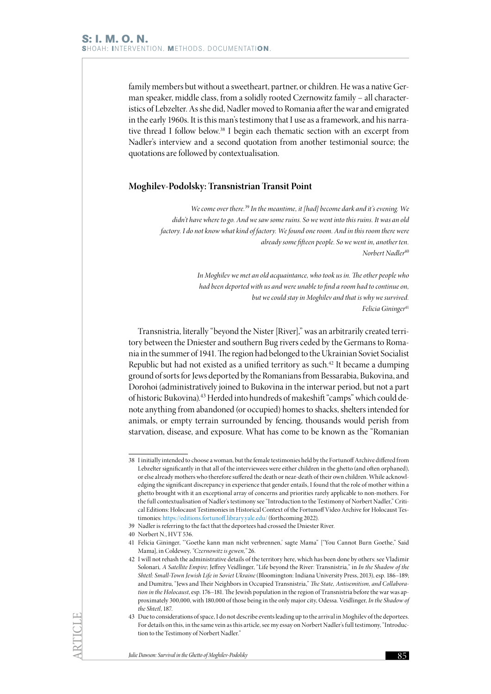family members but without a sweetheart, partner, or children. He was a native German speaker, middle class, from a solidly rooted Czernowitz family – all characteristics of Lebzelter. As she did, Nadler moved to Romania after the war and emigrated in the early 1960s. It is this man's testimony that I use as a framework, and his narrative thread I follow below.<sup>38</sup> I begin each thematic section with an excerpt from Nadler's interview and a second quotation from another testimonial source; the quotations are followed by contextualisation.

#### **Moghilev-Podolsky: Transnistrian Transit Point**

*We come over there.*<sup>39</sup> *In the meantime, it [had] become dark and it's evening. We didn't have where to go. And we saw some ruins. So we went into this ruins. It was an old factory. I do not know what kind of factory. We found one room. And in this room there were already some fifteen people. So we went in, another ten. Norbert Nadler*<sup>40</sup>

> *In Moghilev we met an old acquaintance, who took us in. The other people who had been deported with us and were unable to find a room had to continue on, but we could stay in Moghilev and that is why we survived. Felicia Gininger*<sup>41</sup>

Transnistria, literally "beyond the Nister [River]," was an arbitrarily created territory between the Dniester and southern Bug rivers ceded by the Germans to Romania in the summer of 1941. The region had belonged to the Ukrainian Soviet Socialist Republic but had not existed as a unified territory as such.<sup>42</sup> It became a dumping ground of sorts for Jews deported by the Romanians from Bessarabia, Bukovina, and Dorohoi (administratively joined to Bukovina in the interwar period, but not a part of historic Bukovina).43 Herded into hundreds of makeshift "camps" which could denote anything from abandoned (or occupied) homes to shacks, shelters intended for animals, or empty terrain surrounded by fencing, thousands would perish from starvation, disease, and exposure. What has come to be known as the "Romanian

<sup>38</sup> I initially intended to choose a woman, but the female testimonies held by the Fortunoff Archive differed from Lebzelter significantly in that all of the interviewees were either children in the ghetto (and often orphaned), or else already mothers who therefore suffered the death or near-death of their own children. While acknowledging the significant discrepancy in experience that gender entails, I found that the role of mother within a ghetto brought with it an exceptional array of concerns and priorities rarely applicable to non-mothers. For the full contextualisation of Nadler's testimony see "Introduction to the Testimony of Norbert Nadler," Critical Editions: Holocaust Testimonies in Historical Context of the Fortunoff Video Archive for Holocaust Testimonies:<https://editions.fortunoff.library.yale.edu/> (forthcoming 2022).

<sup>39</sup> Nadler is referring to the fact that the deportees had crossed the Dniester River.

<sup>40</sup> Norbert N., HVT 536.

<sup>41</sup> Felicia Gininger, "'Goethe kann man nicht verbrennen,' sagte Mama" ["You Cannot Burn Goethe," Said Mama], in Coldewey, *"Czernowitz is gewen,"* 26.

<sup>42</sup> I will not rehash the administrative details of the territory here, which has been done by others: see Vladimir Solonari*, A Satellite Empire*; Jeffrey Veidlinger, "Life beyond the River: Transnistria," in *In the Shadow of the Shtetl: Small-Town Jewish Life in Soviet Ukraine* (Bloomington: Indiana University Press, 2013), esp. 186–189; and Dumitru, "Jews and Their Neighbors in Occupied Transnistria," *The State, Antisemitism, and Collaboration in the Holocaust*, esp. 176–181. The Jewish population in the region of Transnistria before the war was approximately 300,000, with 180,000 of those being in the only major city, Odessa. Veidlinger, *In the Shadow of the Shtetl*, 187.

<sup>43</sup> Due to considerations of space, I do not describe events leading up to the arrival in Moghilev of the deportees. For details on this, in the same vein as this article, see my essay on Norbert Nadler's full testimony, "Introduction to the Testimony of Norbert Nadler."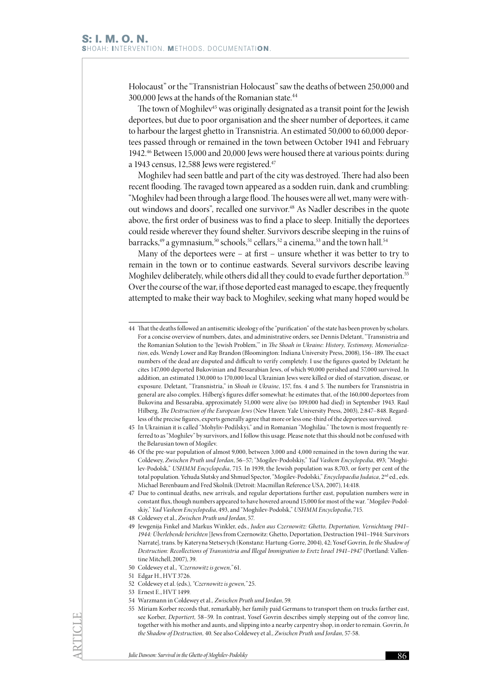Holocaust" or the "Transnistrian Holocaust" saw the deaths of between 250,000 and 300,000 Jews at the hands of the Romanian state.<sup>44</sup>

The town of Moghilev<sup>45</sup> was originally designated as a transit point for the Jewish deportees, but due to poor organisation and the sheer number of deportees, it came to harbour the largest ghetto in Transnistria. An estimated 50,000 to 60,000 deportees passed through or remained in the town between October 1941 and February 1942.46 Between 15,000 and 20,000 Jews were housed there at various points: during a 1943 census, 12,588 Jews were registered.<sup>47</sup>

Moghilev had seen battle and part of the city was destroyed. There had also been recent flooding. The ravaged town appeared as a sodden ruin, dank and crumbling: "Moghilev had been through a large flood. The houses were all wet, many were without windows and doors", recalled one survivor.<sup>48</sup> As Nadler describes in the quote above, the first order of business was to find a place to sleep. Initially the deportees could reside wherever they found shelter. Survivors describe sleeping in the ruins of barracks,<sup>49</sup> a gymnasium,<sup>50</sup> schools,<sup>51</sup> cellars,<sup>52</sup> a cinema,<sup>53</sup> and the town hall.<sup>54</sup>

Many of the deportees were – at first – unsure whether it was better to try to remain in the town or to continue eastwards. Several survivors describe leaving Moghilev deliberately, while others did all they could to evade further deportation.<sup>55</sup> Over the course of the war, if those deported east managed to escape, they frequently attempted to make their way back to Moghilev, seeking what many hoped would be

53 Ernest E., HVT 1499.

<sup>44</sup> That the deaths followed an antisemitic ideology of the "purification" of the state has been proven by scholars. For a concise overview of numbers, dates, and administrative orders, see Dennis Deletant, "Transnistria and the Romanian Solution to the 'Jewish Problem,'" in *The Shoah in Ukraine: History, Testimony, Memorialization*, eds. Wendy Lower and Ray Brandon (Bloomington: Indiana University Press, 2008), 156–189. The exact numbers of the dead are disputed and difficult to verify completely. I use the figures quoted by Deletant: he cites 147,000 deported Bukovinian and Bessarabian Jews, of which 90,000 perished and 57,000 survived. In addition, an estimated 130,000 to 170,000 local Ukrainian Jews were killed or died of starvation, disease, or exposure. Deletant, "Transnistria," in *Shoah in Ukraine*, 157, fns. 4 and 5. The numbers for Transnistria in general are also complex. Hilberg's figures differ somewhat: he estimates that, of the 160,000 deportees from Bukovina and Bessarabia, approximately 51,000 were alive (so 109,000 had died) in September 1943. Raul Hilberg, *The Destruction of the European Jews* (New Haven: Yale University Press, 2003), 2:847–848. Regardless of the precise figures, experts generally agree that more or less one-third of the deportees survived.

<sup>45</sup> In Ukrainian it is called "Mohyliv-Podilskyi," and in Romanian "Moghilău." The town is most frequently referred to as "Moghilev" by survivors, and I follow this usage. Please note that this should not be confused with the Belarusian town of Mogilev.

<sup>46</sup> Of the pre-war population of almost 9,000, between 3,000 and 4,000 remained in the town during the war. Coldewey, *Zwischen Pruth und Jordan*, 56–57; "Mogilev-Podolskiy," *Yad Vashem Encyclopedia*, 493; "Moghilev-Podolsk," *USHMM Encyclopedia*, 715. In 1939, the Jewish population was 8,703, or forty per cent of the total population. Yehuda Slutsky and Shmuel Spector, "Mogilev-Podolski," *Encyclopaedia Judaica*, 2nd ed., eds. Michael Berenbaum and Fred Skolnik (Detroit: Macmillan Reference USA, 2007), 14:418.

<sup>47</sup> Due to continual deaths, new arrivals, and regular deportations further east, population numbers were in constant flux, though numbers appeared to have hovered around 15,000 for most of the war. "Mogilev-Podolskiy," *Yad Vashem Encyclopedia*, 493, and "Moghilev-Podolsk," *USHMM Encyclopedia*, 715.

<sup>48</sup> Coldewey et al., *Zwischen Pruth und Jordan*, 57.

<sup>49</sup> Jewgenija Finkel and Markus Winkler, eds., *Juden aus Czernowitz: Ghetto, Deportation, Vernichtung 1941– 1944: Überlebende berichten* [Jews from Czernowitz: Ghetto, Deportation, Destruction 1941–1944: Survivors Narrate], trans. by Kateryna Stetsevych (Konstanz: Hartung-Gorre, 2004), 42; Yosef Govrin, *In the Shadow of Destruction: Recollections of Transnistria and Illegal Immigration to Eretz Israel 1941–1947* (Portland: Vallentine Mitchell, 2007), 39.

<sup>50</sup> Coldewey et al., *"Czernowitz is gewen,"* 61.

<sup>51</sup> Edgar H., HVT 3726.

<sup>52</sup> Coldewey et al. (eds.), *"Czernowitz is gewen,"* 25.

<sup>54</sup> Warzmann in Coldewey et al*., Zwischen Pruth und Jordan*, 59.

<sup>55</sup> Miriam Korber records that, remarkably, her family paid Germans to transport them on trucks farther east, see Korber, *Deportiert,* 58–59. In contrast, Yosef Govrin describes simply stepping out of the convoy line, together with his mother and aunts, and slipping into a nearby carpentry shop, in order to remain. Govrin, *In the Shadow of Destruction,* 40. See also Coldewey et al., *Zwischen Pruth und Jordan*, 57-58.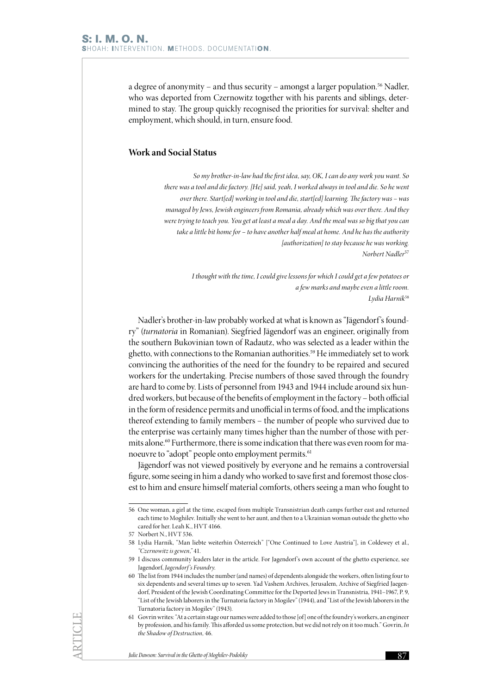a degree of anonymity – and thus security – amongst a larger population.56 Nadler, who was deported from Czernowitz together with his parents and siblings, determined to stay. The group quickly recognised the priorities for survival: shelter and employment, which should, in turn, ensure food.

## **Work and Social Status**

*So my brother-in-law had the first idea, say, OK, I can do any work you want. So there was a tool and die factory. [He] said, yeah, I worked always in tool and die. So he went over there. Start[ed] working in tool and die, start[ed] learning. The factory was – was managed by Jews, Jewish engineers from Romania, already which was over there. And they were trying to teach you. You get at least a meal a day. And the meal was so big that you can take a little bit home for – to have another half meal at home. And he has the authority [authorization] to stay because he was working. Norbert Nadler*<sup>57</sup>

> *I thought with the time, I could give lessons for which I could get a few potatoes or a few marks and maybe even a little room. Lydia Harnik*<sup>58</sup>

Nadler's brother-in-law probably worked at what is known as "Jägendorf's foundry" (*turnatoria* in Romanian). Siegfried Jägendorf was an engineer, originally from the southern Bukovinian town of Radautz, who was selected as a leader within the ghetto, with connections to the Romanian authorities.<sup>59</sup> He immediately set to work convincing the authorities of the need for the foundry to be repaired and secured workers for the undertaking. Precise numbers of those saved through the foundry are hard to come by. Lists of personnel from 1943 and 1944 include around six hundred workers, but because of the benefits of employment in the factory – both official in the form of residence permits and unofficial in terms of food, and the implications thereof extending to family members – the number of people who survived due to the enterprise was certainly many times higher than the number of those with permits alone.<sup>60</sup> Furthermore, there is some indication that there was even room for manoeuvre to "adopt" people onto employment permits.<sup>61</sup>

Jägendorf was not viewed positively by everyone and he remains a controversial figure, some seeing in him a dandy who worked to save first and foremost those closest to him and ensure himself material comforts, others seeing a man who fought to

<sup>56</sup> One woman, a girl at the time, escaped from multiple Transnistrian death camps further east and returned each time to Moghilev. Initially she went to her aunt, and then to a Ukrainian woman outside the ghetto who cared for her. Leah K., HVT 4166.

<sup>57</sup> Norbert N., HVT 536.

<sup>58</sup> Lydia Harnik, "Man liebte weiterhin Österreich" ["One Continued to Love Austria"], in Coldewey et al., *"Czernowitz is gewen*,*"* 41.

<sup>59</sup> I discuss community leaders later in the article. For Jagendorf 's own account of the ghetto experience, see Jagendorf, *Jagendorf 's Foundry*.

<sup>60</sup> The list from 1944 includes the number (and names) of dependents alongside the workers, often listing four to six dependents and several times up to seven. Yad Vashem Archives, Jerusalem, Archive of Siegfried Jaegendorf, President of the Jewish Coordinating Committee for the Deported Jews in Transnistria, 1941–1967, P. 9, "List of the Jewish laborers in the Turnatoria factory in Mogilev" (1944), and "List of the Jewish laborers in the Turnatoria factory in Mogilev" (1943).

<sup>61</sup> Govrin writes: "At a certain stage our names were added to those [of] one of the foundry's workers, an engineer by profession, and his family. This afforded us some protection, but we did not rely on it too much." Govrin, *In the Shadow of Destruction,* 46.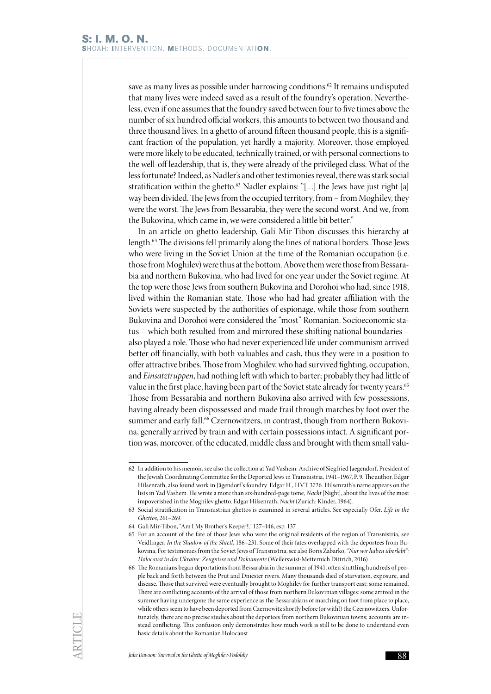save as many lives as possible under harrowing conditions.<sup>62</sup> It remains undisputed that many lives were indeed saved as a result of the foundry's operation. Nevertheless, even if one assumes that the foundry saved between four to five times above the number of six hundred official workers, this amounts to between two thousand and three thousand lives. In a ghetto of around fifteen thousand people, this is a significant fraction of the population, yet hardly a majority. Moreover, those employed were more likely to be educated, technically trained, or with personal connections to the well-off leadership, that is, they were already of the privileged class. What of the less fortunate? Indeed, as Nadler's and other testimonies reveal, there was stark social stratification within the ghetto.<sup>63</sup> Nadler explains: "[...] the Jews have just right [a] way been divided. The Jews from the occupied territory, from – from Moghilev, they were the worst. The Jews from Bessarabia, they were the second worst. And we, from the Bukovina, which came in, we were considered a little bit better."

In an article on ghetto leadership, Gali Mir-Tibon discusses this hierarchy at length.64 The divisions fell primarily along the lines of national borders. Those Jews who were living in the Soviet Union at the time of the Romanian occupation (i.e. those from Moghilev) were thus at the bottom. Above them were those from Bessarabia and northern Bukovina, who had lived for one year under the Soviet regime. At the top were those Jews from southern Bukovina and Dorohoi who had, since 1918, lived within the Romanian state. Those who had had greater affiliation with the Soviets were suspected by the authorities of espionage, while those from southern Bukovina and Dorohoi were considered the "most" Romanian. Socioeconomic status – which both resulted from and mirrored these shifting national boundaries – also played a role. Those who had never experienced life under communism arrived better off financially, with both valuables and cash, thus they were in a position to offer attractive bribes. Those from Moghilev, who had survived fighting, occupation, and *Einsatztruppen*, had nothing left with which to barter; probably they had little of value in the first place, having been part of the Soviet state already for twenty years.<sup>65</sup> Those from Bessarabia and northern Bukovina also arrived with few possessions, having already been dispossessed and made frail through marches by foot over the summer and early fall.<sup>66</sup> Czernowitzers, in contrast, though from northern Bukovina, generally arrived by train and with certain possessions intact. A significant portion was, moreover, of the educated, middle class and brought with them small valu-

<sup>62</sup> In addition to his memoir, see also the collection at Yad Vashem: Archive of Siegfried Jaegendorf, President of the Jewish Coordinating Committee for the Deported Jews in Transnistria, 1941–1967, P. 9. The author, Edgar Hilsenrath, also found work in Jägendorf's foundry. Edgar H., HVT 3726. Hilsenrath's name appears on the lists in Yad Vashem. He wrote a more than six-hundred-page tome, *Nacht* [Night], about the lives of the most impoverished in the Moghilev ghetto. Edgar Hilsenrath, *Nacht* (Zurich: Kinder, 1964).

<sup>63</sup> Social stratification in Transnistrian ghettos is examined in several articles. See especially Ofer, *Life in the Ghettos*, 261–269.

<sup>64</sup> Gali Mir-Tibon, "Am I My Brother's Keeper?," 127–146, esp. 137.

<sup>65</sup> For an account of the fate of those Jews who were the original residents of the region of Transnistria, see Veidlinger, *In the Shadow of the Shtetl*, 186–231. Some of their fates overlapped with the deportees from Bukovina. For testimonies from the Soviet Jews of Transnistria, see also Boris Zabarko, *"Nur wir haben überlebt": Holocaust in der Ukraine: Zeugnisse und Dokumente* (Weilerswist-Metternich Dittrich, 2016).

<sup>66</sup> The Romanians began deportations from Bessarabia in the summer of 1941, often shuttling hundreds of people back and forth between the Prut and Dniester rivers. Many thousands died of starvation, exposure, and disease. Those that survived were eventually brought to Moghilev for further transport east; some remained. There are conflicting accounts of the arrival of those from northern Bukovinian villages: some arrived in the summer having undergone the same experience as the Bessarabians of marching on foot from place to place, while others seem to have been deported from Czernowitz shortly before (or with?) the Czernowitzers. Unfortunately, there are no precise studies about the deportees from northern Bukovinian towns; accounts are instead conflicting. This confusion only demonstrates how much work is still to be done to understand even basic details about the Romanian Holocaust.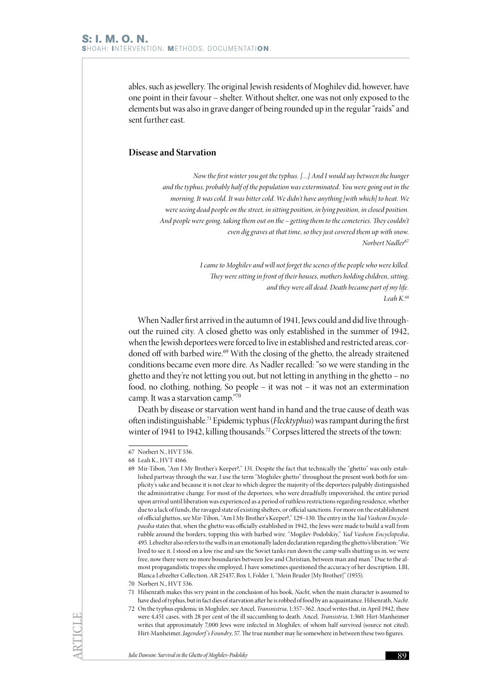ables, such as jewellery. The original Jewish residents of Moghilev did, however, have one point in their favour – shelter. Without shelter, one was not only exposed to the elements but was also in grave danger of being rounded up in the regular "raids" and sent further east.

## **Disease and Starvation**

*Now the first winter you got the typhus. […] And I would say between the hunger and the typhus, probably half of the population was exterminated. You were going out in the morning. It was cold. It was bitter cold. We didn't have anything [with which] to heat. We were seeing dead people on the street, in sitting position, in lying position, in closed position. And people were going, taking them out on the – getting them to the cemeteries. They couldn't even dig graves at that time, so they just covered them up with snow. Norbert Nadler*<sup>67</sup>

> *I came to Moghilev and will not forget the scenes of the people who were killed. They were sitting in front of their houses, mothers holding children, sitting, and they were all dead. Death became part of my life. Leah K.*<sup>68</sup>

When Nadler first arrived in the autumn of 1941, Jews could and did live throughout the ruined city. A closed ghetto was only established in the summer of 1942, when the Jewish deportees were forced to live in established and restricted areas, cordoned off with barbed wire.<sup>69</sup> With the closing of the ghetto, the already straitened conditions became even more dire. As Nadler recalled: "so we were standing in the ghetto and they're not letting you out, but not letting in anything in the ghetto – no food, no clothing, nothing. So people – it was not – it was not an extermination camp. It was a starvation camp."70

Death by disease or starvation went hand in hand and the true cause of death was often indistinguishable.71 Epidemic typhus (*Flecktyphus*) was rampant during the first winter of 1941 to 1942, killing thousands.<sup>72</sup> Corpses littered the streets of the town:

<sup>67</sup> Norbert N., HVT 536.

<sup>68</sup> Leah K., HVT 4166.

<sup>69</sup> Mir-Tibon, "Am I My Brother's Keeper?," 131. Despite the fact that technically the "ghetto" was only established partway through the war, I use the term "Moghilev ghetto" throughout the present work both for simplicity's sake and because it is not clear to which degree the majority of the deportees palpably distinguished the administrative change. For most of the deportees, who were dreadfully impoverished, the entire period upon arrival until liberation was experienced as a period of ruthless restrictions regarding residence, whether due to a lack of funds, the ravaged state of existing shelters, or official sanctions. For more on the establishment of official ghettos, see Mir-Tibon, "Am I My Brother's Keeper?," 129–130. The entry in the *Yad Vashem Encyclopaedia* states that, when the ghetto was officially established in 1942, the Jews were made to build a wall from rubble around the borders, topping this with barbed wire. "Mogilev-Podolskiy," *Yad Vashem Encyclopedia*, 495. Lebzelter also refers to the walls in an emotionally laden declaration regarding the ghetto's liberation: "We lived to see it. I stood on a low rise and saw the Soviet tanks run down the camp walls shutting us in, we were free, now there were no more boundaries between Jew and Christian, between man and man." Due to the almost propagandistic tropes she employed, I have sometimes questioned the accuracy of her description. LBI, Blanca Lebzelter Collection, AR 25437, Box 1, Folder 1, "Mein Bruder [My Brother]" (1955).

<sup>70</sup> Norbert N., HVT 536.

<sup>71</sup> Hilsenrath makes this wry point in the conclusion of his book, *Nacht*, when the main character is assumed to have died of typhus, but in fact dies of starvation after he is robbed of food by an acquaintance. Hilsenrath, *Nacht*.

<sup>72</sup> On the typhus epidemic in Moghilev, see Ancel, *Transnistria*, 1:357–362. Ancel writes that, in April 1942, there were 4,451 cases, with 28 per cent of the ill succumbing to death. Ancel, *Transistria*, 1:360. Hirt-Manheimer writes that approximately 7,000 Jews were infected in Moghilev, of whom half survived (source not cited). Hirt-Manheimer, *Jagendorf 's Foundry*, 57. The true number may lie somewhere in between these two figures.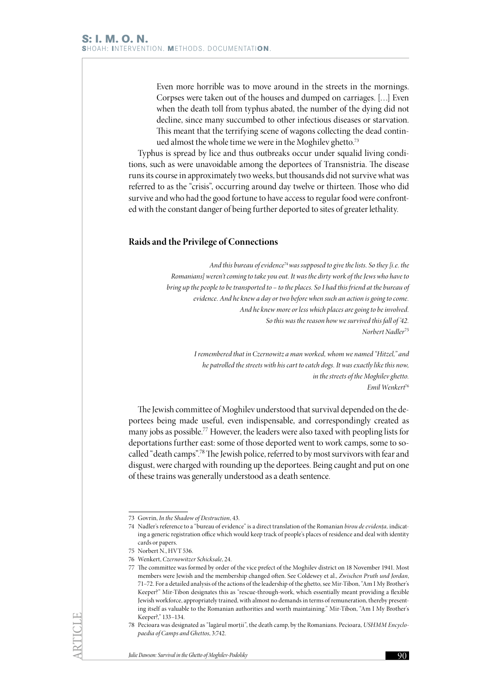Even more horrible was to move around in the streets in the mornings. Corpses were taken out of the houses and dumped on carriages. […] Even when the death toll from typhus abated, the number of the dying did not decline, since many succumbed to other infectious diseases or starvation. This meant that the terrifying scene of wagons collecting the dead continued almost the whole time we were in the Moghilev ghetto.<sup>73</sup>

Typhus is spread by lice and thus outbreaks occur under squalid living conditions, such as were unavoidable among the deportees of Transnistria. The disease runs its course in approximately two weeks, but thousands did not survive what was referred to as the "crisis", occurring around day twelve or thirteen. Those who did survive and who had the good fortune to have access to regular food were confronted with the constant danger of being further deported to sites of greater lethality.

## **Raids and the Privilege of Connections**

*And this bureau of evidence*<sup>74</sup>*was supposed to give the lists. So they [i.e. the Romanians] weren't coming to take you out. It was the dirty work of the Jews who have to bring up the people to be transported to – to the places. So I had this friend at the bureau of evidence. And he knew a day or two before when such an action is going to come. And he knew more or less which places are going to be involved. So this was the reason how we survived this fall of '42. Norbert Nadler*<sup>75</sup>

> *I remembered that in Czernowitz a man worked, whom we named "Hitzel," and he patrolled the streets with his cart to catch dogs. It was exactly like this now, in the streets of the Moghilev ghetto. Emil Wenkert*<sup>76</sup>

The Jewish committee of Moghilev understood that survival depended on the deportees being made useful, even indispensable, and correspondingly created as many jobs as possible.77 However, the leaders were also taxed with peopling lists for deportations further east: some of those deported went to work camps, some to socalled "death camps".78 The Jewish police, referred to by most survivors with fear and disgust, were charged with rounding up the deportees. Being caught and put on one of these trains was generally understood as a death sentence.

<sup>73</sup> Govrin, *In the Shadow of Destruction*, 43.

<sup>74</sup> Nadler's reference to a "bureau of evidence" is a direct translation of the Romanian *birou de evidența,* indicating a generic registration office which would keep track of people's places of residence and deal with identity cards or papers.

<sup>75</sup> Norbert N., HVT 536.

<sup>76</sup> Wenkert, *Czernowitzer Schicksale*, 24.

<sup>77</sup> The committee was formed by order of the vice prefect of the Moghilev district on 18 November 1941. Most members were Jewish and the membership changed often. See Coldewey et al., *Zwischen Pruth und Jordan*, 71–72. For a detailed analysis of the actions of the leadership of the ghetto, see Mir-Tibon, "Am I My Brother's Keeper?" Mir-Tibon designates this as "rescue-through-work, which essentially meant providing a flexible Jewish workforce, appropriately trained, with almost no demands in terms of remuneration, thereby presenting itself as valuable to the Romanian authorities and worth maintaining." Mir-Tibon, "Am I My Brother's Keeper?," 133–134.

<sup>78</sup> Pecioara was designated as "lagărul morții", the death camp, by the Romanians. Pecioara, *USHMM Encyclopaedia of Camps and Ghettos*, 3:742.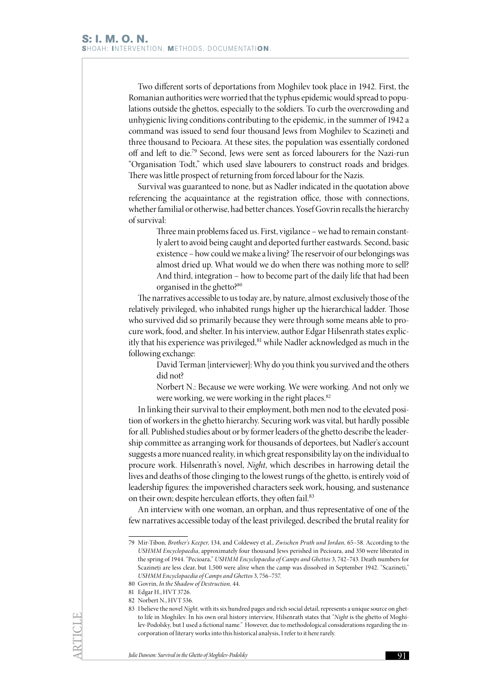Two different sorts of deportations from Moghilev took place in 1942. First, the Romanian authorities were worried that the typhus epidemic would spread to populations outside the ghettos, especially to the soldiers. To curb the overcrowding and unhygienic living conditions contributing to the epidemic, in the summer of 1942 a command was issued to send four thousand Jews from Moghilev to Scazineți and three thousand to Pecioara. At these sites, the population was essentially cordoned off and left to die.79 Second, Jews were sent as forced labourers for the Nazi-run "Organisation Todt," which used slave labourers to construct roads and bridges. There was little prospect of returning from forced labour for the Nazis.

Survival was guaranteed to none, but as Nadler indicated in the quotation above referencing the acquaintance at the registration office, those with connections, whether familial or otherwise, had better chances. Yosef Govrin recalls the hierarchy of survival:

Three main problems faced us. First, vigilance – we had to remain constantly alert to avoid being caught and deported further eastwards. Second, basic existence – how could we make a living? The reservoir of our belongings was almost dried up. What would we do when there was nothing more to sell? And third, integration – how to become part of the daily life that had been organised in the ghetto?<sup>80</sup>

The narratives accessible to us today are, by nature, almost exclusively those of the relatively privileged, who inhabited rungs higher up the hierarchical ladder. Those who survived did so primarily because they were through some means able to procure work, food, and shelter. In his interview, author Edgar Hilsenrath states explicitly that his experience was privileged, <sup>81</sup> while Nadler acknowledged as much in the following exchange:

David Terman [interviewer]: Why do you think you survived and the others did not?

Norbert N.: Because we were working. We were working. And not only we were working, we were working in the right places.<sup>82</sup>

In linking their survival to their employment, both men nod to the elevated position of workers in the ghetto hierarchy. Securing work was vital, but hardly possible for all. Published studies about or by former leaders of the ghetto describe the leadership committee as arranging work for thousands of deportees, but Nadler's account suggests a more nuanced reality, in which great responsibility lay on the individual to procure work. Hilsenrath's novel, *Night*, which describes in harrowing detail the lives and deaths of those clinging to the lowest rungs of the ghetto, is entirely void of leadership figures: the impoverished characters seek work, housing, and sustenance on their own; despite herculean efforts, they often fail.<sup>83</sup>

An interview with one woman, an orphan, and thus representative of one of the few narratives accessible today of the least privileged, described the brutal reality for

<sup>79</sup> Mir-Tibon, *Brother's Keeper*, 134, and Coldewey et al., *Zwischen Pruth und Jordan,* 65–58. According to the *USHMM Encyclopaedia*, approximately four thousand Jews perished in Pecioara, and 350 were liberated in the spring of 1944. "Pecioara," *USHMM Encyclopaedia of Camps and Ghettos* 3, 742–743. Death numbers for Scazineți are less clear, but 1,500 were alive when the camp was dissolved in September 1942. "Scazineți," *USHMM Encyclopaedia of Camps and Ghettos* 3, 756–757.

<sup>80</sup> Govrin, *In the Shadow of Destruction,* 44.

<sup>81</sup> Edgar H., HVT 3726.

<sup>82</sup> Norbert N., HVT 536.

<sup>83</sup> I believe the novel *Night,* with its six hundred pages and rich social detail, represents a unique source on ghetto life in Moghilev. In his own oral history interview, Hilsenrath states that "*Night* is the ghetto of Moghilev-Podolsky, but I used a fictional name." However, due to methodological considerations regarding the incorporation of literary works into this historical analysis, I refer to it here rarely.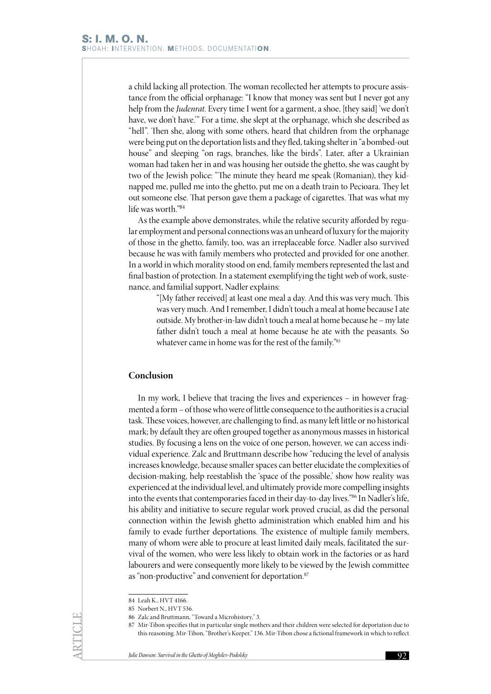a child lacking all protection. The woman recollected her attempts to procure assistance from the official orphanage: "I know that money was sent but I never got any help from the *Judenrat*. Every time I went for a garment, a shoe, [they said] 'we don't have, we don't have.'" For a time, she slept at the orphanage, which she described as "hell". Then she, along with some others, heard that children from the orphanage were being put on the deportation lists and they fled, taking shelter in "a bombed-out house" and sleeping "on rags, branches, like the birds". Later, after a Ukrainian woman had taken her in and was housing her outside the ghetto, she was caught by two of the Jewish police: "The minute they heard me speak (Romanian), they kidnapped me, pulled me into the ghetto, put me on a death train to Pecioara. They let out someone else. That person gave them a package of cigarettes. That was what my life was worth."84

As the example above demonstrates, while the relative security afforded by regular employment and personal connections was an unheard of luxury for the majority of those in the ghetto, family, too, was an irreplaceable force. Nadler also survived because he was with family members who protected and provided for one another. In a world in which morality stood on end, family members represented the last and final bastion of protection. In a statement exemplifying the tight web of work, sustenance, and familial support, Nadler explains:

> "[My father received] at least one meal a day. And this was very much. This was very much. And I remember, I didn't touch a meal at home because I ate outside. My brother-in-law didn't touch a meal at home because he – my late father didn't touch a meal at home because he ate with the peasants. So whatever came in home was for the rest of the family."85

## **Conclusion**

In my work, I believe that tracing the lives and experiences – in however fragmented a form – of those who were of little consequence to the authorities is a crucial task. These voices, however, are challenging to find, as many left little or no historical mark; by default they are often grouped together as anonymous masses in historical studies. By focusing a lens on the voice of one person, however, we can access individual experience. Zalc and Bruttmann describe how "reducing the level of analysis increases knowledge, because smaller spaces can better elucidate the complexities of decision-making, help reestablish the 'space of the possible,' show how reality was experienced at the individual level, and ultimately provide more compelling insights into the events that contemporaries faced in their day-to-day lives."86 In Nadler's life, his ability and initiative to secure regular work proved crucial, as did the personal connection within the Jewish ghetto administration which enabled him and his family to evade further deportations. The existence of multiple family members, many of whom were able to procure at least limited daily meals, facilitated the survival of the women, who were less likely to obtain work in the factories or as hard labourers and were consequently more likely to be viewed by the Jewish committee as "non-productive" and convenient for deportation.<sup>87</sup>

<sup>84</sup> Leah K., HVT 4166.

<sup>85</sup> Norbert N., HVT 536.

<sup>86</sup> Zalc and Bruttmann, "Toward a Microhistory," 3.

<sup>87</sup> Mir-Tibon specifies that in particular single mothers and their children were selected for deportation due to this reasoning. Mir-Tibon, "Brother's Keeper," 136. Mir-Tibon chose a fictional framework in which to reflect